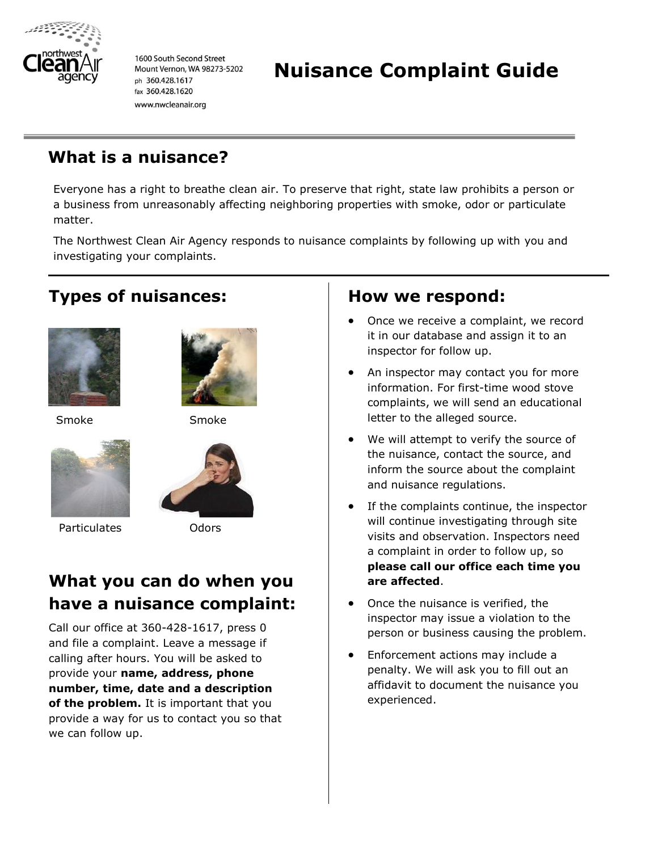

1600 South Second Street Mount Vernon, WA 98273-5202 ph 360,428.1617 fax 360.428.1620 www.nwcleanair.org

# **Nuisance Complaint Guide**

### **What is a nuisance?**

**Types of nuisances:**

Everyone has a right to breathe clean air. To preserve that right, state law prohibits a person or a business from unreasonably affecting neighboring properties with smoke, odor or particulate matter.

The Northwest Clean Air Agency responds to nuisance complaints by following up with you and investigating your complaints.



Smoke



Smoke



Particulates Odors



## **What you can do when you have a nuisance complaint:**

Call our office at 360-428-1617, press 0 and file a complaint. Leave a message if calling after hours. You will be asked to provide your **name, address, phone number, time, date and a description of the problem.** It is important that you provide a way for us to contact you so that we can follow up.

#### **How we respond:**

- Once we receive a complaint, we record it in our database and assign it to an inspector for follow up.
- An inspector may contact you for more information. For first-time wood stove complaints, we will send an educational letter to the alleged source.
- We will attempt to verify the source of the nuisance, contact the source, and inform the source about the complaint and nuisance regulations.
- If the complaints continue, the inspector will continue investigating through site visits and observation. Inspectors need a complaint in order to follow up, so **please call our office each time you are affected**.
- Once the nuisance is verified, the inspector may issue a violation to the person or business causing the problem.
- Enforcement actions may include a penalty. We will ask you to fill out an affidavit to document the nuisance you experienced.